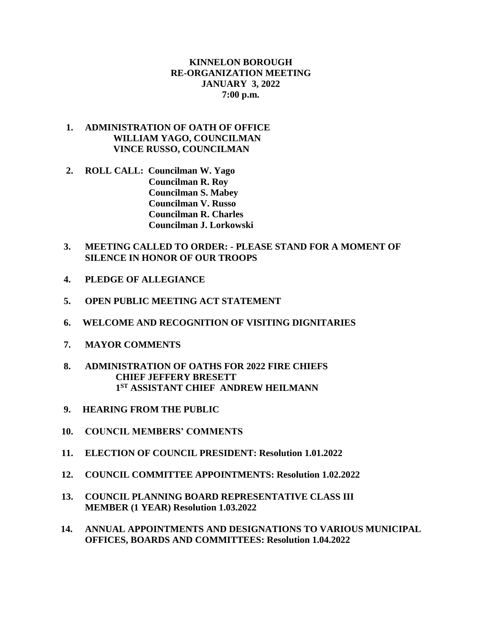## **KINNELON BOROUGH RE-ORGANIZATION MEETING JANUARY 3, 2022 7:00 p.m.**

## **1. ADMINISTRATION OF OATH OF OFFICE WILLIAM YAGO, COUNCILMAN VINCE RUSSO, COUNCILMAN**

 **2. ROLL CALL: Councilman W. Yago Councilman R. Roy Councilman S. Mabey Councilman V. Russo Councilman R. Charles Councilman J. Lorkowski**

## **3. MEETING CALLED TO ORDER: - PLEASE STAND FOR A MOMENT OF SILENCE IN HONOR OF OUR TROOPS**

- **4. PLEDGE OF ALLEGIANCE**
- **5. OPEN PUBLIC MEETING ACT STATEMENT**
- **6. WELCOME AND RECOGNITION OF VISITING DIGNITARIES**
- **7. MAYOR COMMENTS**
- **8. ADMINISTRATION OF OATHS FOR 2022 FIRE CHIEFS CHIEF JEFFERY BRESETT 1 1ST ASSISTANT CHIEF ANDREW HEILMANN** 
	- **9. HEARING FROM THE PUBLIC**
- **10. COUNCIL MEMBERS' COMMENTS**
- **11. ELECTION OF COUNCIL PRESIDENT: Resolution 1.01.2022**
- **12. COUNCIL COMMITTEE APPOINTMENTS: Resolution 1.02.2022**
- **13. COUNCIL PLANNING BOARD REPRESENTATIVE CLASS III MEMBER (1 YEAR) Resolution 1.03.2022**
- **14. ANNUAL APPOINTMENTS AND DESIGNATIONS TO VARIOUS MUNICIPAL OFFICES, BOARDS AND COMMITTEES: Resolution 1.04.2022**